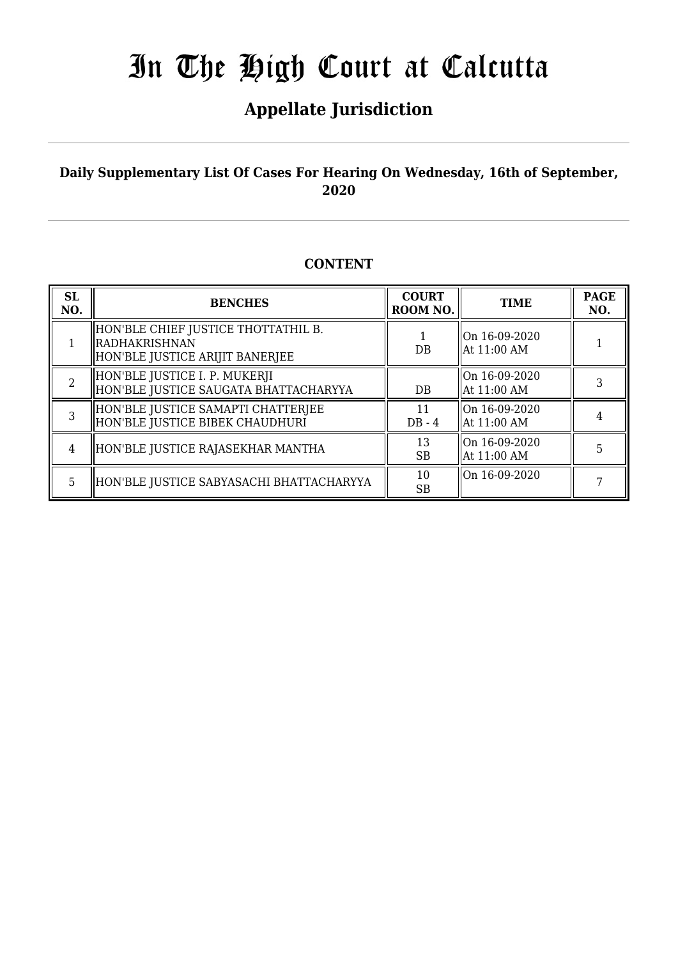## **Appellate Jurisdiction**

## **Daily Supplementary List Of Cases For Hearing On Wednesday, 16th of September, 2020**

### **CONTENT**

| <b>SL</b><br>NO. | <b>BENCHES</b>                                                                            | <b>COURT</b><br>ROOM NO. | <b>TIME</b>                                | <b>PAGE</b><br>NO. |
|------------------|-------------------------------------------------------------------------------------------|--------------------------|--------------------------------------------|--------------------|
|                  | HON'BLE CHIEF JUSTICE THOTTATHIL B.<br>  RADHAKRISHNAN<br>HON'BLE JUSTICE ARIJIT BANERJEE | DB                       | lOn 16-09-2020<br>At 11:00 AM              |                    |
| 2                | HON'BLE JUSTICE I. P. MUKERJI<br>HON'BLE JUSTICE SAUGATA BHATTACHARYYA                    | DB                       | lOn 16-09-2020<br>At 11:00 AM              | 3                  |
| 3                | HON'BLE JUSTICE SAMAPTI CHATTERJEE<br>HON'BLE JUSTICE BIBEK CHAUDHURI                     | 11<br>$DB - 4$           | On $16-09-2020$<br>$\parallel$ At 11:00 AM |                    |
| 4                | HON'BLE JUSTICE RAJASEKHAR MANTHA                                                         | 13<br><b>SB</b>          | On 16-09-2020<br>At 11:00 AM               | 5                  |
| 5                | HON'BLE JUSTICE SABYASACHI BHATTACHARYYA                                                  | 10<br><b>SB</b>          | On 16-09-2020                              |                    |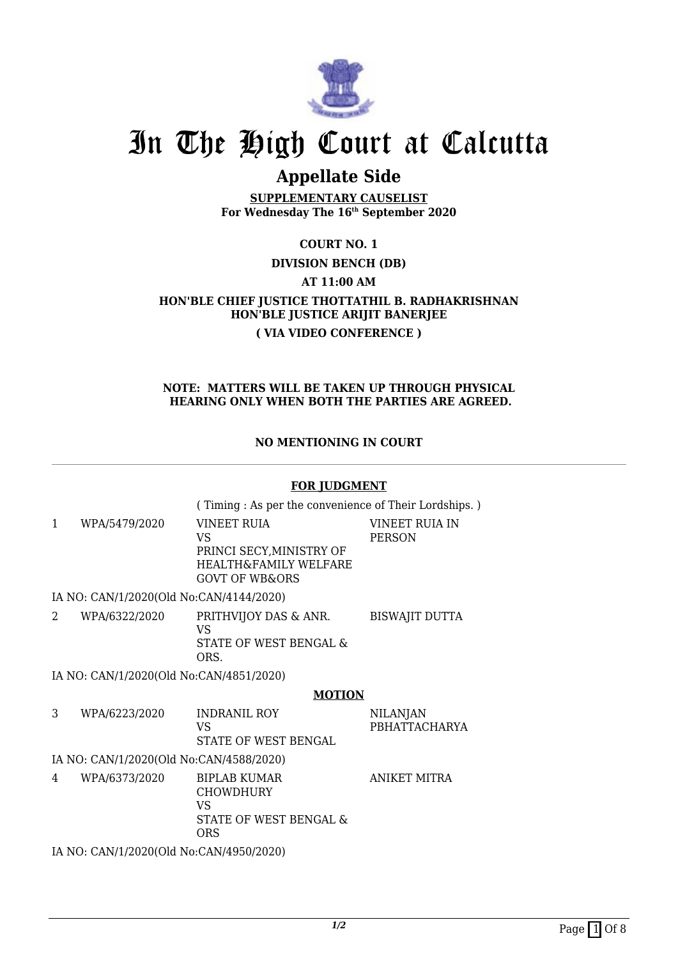

## **Appellate Side**

**SUPPLEMENTARY CAUSELIST For Wednesday The 16th September 2020**

**COURT NO. 1 DIVISION BENCH (DB) AT 11:00 AM HON'BLE CHIEF JUSTICE THOTTATHIL B. RADHAKRISHNAN HON'BLE JUSTICE ARIJIT BANERJEE ( VIA VIDEO CONFERENCE )**

#### **NOTE: MATTERS WILL BE TAKEN UP THROUGH PHYSICAL HEARING ONLY WHEN BOTH THE PARTIES ARE AGREED.**

**NO MENTIONING IN COURT**

#### **FOR JUDGMENT**

( Timing : As per the convenience of Their Lordships. )

1 WPA/5479/2020 VINEET RUIA VS PRINCI SECY,MINISTRY OF HEALTH&FAMILY WELFARE GOVT OF WB&ORS VINEET RUIA IN PERSON

IA NO: CAN/1/2020(Old No:CAN/4144/2020)

2 WPA/6322/2020 PRITHVIJOY DAS & ANR. VS STATE OF WEST BENGAL & ORS. BISWAJIT DUTTA

IA NO: CAN/1/2020(Old No:CAN/4851/2020)

#### **MOTION**

NILANJAN

PBHATTACHARYA

3 WPA/6223/2020 INDRANIL ROY VS STATE OF WEST BENGAL IA NO: CAN/1/2020(Old No:CAN/4588/2020)

4 WPA/6373/2020 BIPLAB KUMAR **CHOWDHURY** VS STATE OF WEST BENGAL & ORS ANIKET MITRA

IA NO: CAN/1/2020(Old No:CAN/4950/2020)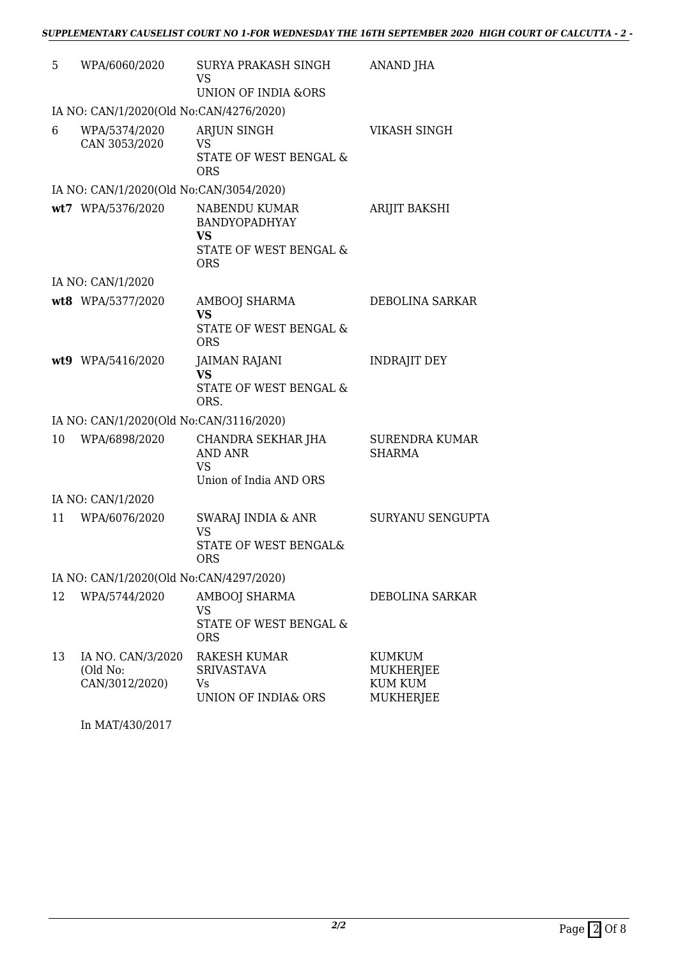| WPA/6060/2020                                   | SURYA PRAKASH SINGH<br>VS                                                                             | ANAND JHA                                                                                                                                                       |  |
|-------------------------------------------------|-------------------------------------------------------------------------------------------------------|-----------------------------------------------------------------------------------------------------------------------------------------------------------------|--|
|                                                 |                                                                                                       |                                                                                                                                                                 |  |
| WPA/5374/2020<br>CAN 3053/2020                  | ARJUN SINGH<br><b>VS</b><br>STATE OF WEST BENGAL &<br><b>ORS</b>                                      | VIKASH SINGH                                                                                                                                                    |  |
|                                                 |                                                                                                       |                                                                                                                                                                 |  |
|                                                 | NABENDU KUMAR<br><b>BANDYOPADHYAY</b><br><b>VS</b><br>STATE OF WEST BENGAL &<br><b>ORS</b>            | ARIJIT BAKSHI                                                                                                                                                   |  |
|                                                 |                                                                                                       |                                                                                                                                                                 |  |
|                                                 | AMBOOJ SHARMA<br><b>VS</b><br><b>STATE OF WEST BENGAL &amp;</b><br><b>ORS</b>                         | DEBOLINA SARKAR                                                                                                                                                 |  |
|                                                 | <b>JAIMAN RAJANI</b><br><b>VS</b><br>STATE OF WEST BENGAL &<br>ORS.                                   | <b>INDRAJIT DEY</b>                                                                                                                                             |  |
|                                                 |                                                                                                       |                                                                                                                                                                 |  |
| WPA/6898/2020                                   | CHANDRA SEKHAR JHA<br><b>AND ANR</b><br><b>VS</b><br>Union of India AND ORS                           | <b>SURENDRA KUMAR</b><br><b>SHARMA</b>                                                                                                                          |  |
|                                                 |                                                                                                       |                                                                                                                                                                 |  |
| WPA/6076/2020                                   | SWARAJ INDIA & ANR<br><b>VS</b><br>STATE OF WEST BENGAL&<br><b>ORS</b>                                | <b>SURYANU SENGUPTA</b>                                                                                                                                         |  |
| IA NO: CAN/1/2020(Old No:CAN/4297/2020)         |                                                                                                       |                                                                                                                                                                 |  |
| WPA/5744/2020                                   | <b>AMBOOJ SHARMA</b><br>VS<br><b>STATE OF WEST BENGAL &amp;</b><br><b>ORS</b>                         | DEBOLINA SARKAR                                                                                                                                                 |  |
| IA NO. CAN/3/2020<br>(Old No:<br>CAN/3012/2020) | RAKESH KUMAR<br><b>SRIVASTAVA</b><br>Vs<br>UNION OF INDIA& ORS                                        | <b>KUMKUM</b><br><b>MUKHERJEE</b><br><b>KUM KUM</b><br><b>MUKHERJEE</b>                                                                                         |  |
|                                                 | wt7 WPA/5376/2020<br>IA NO: CAN/1/2020<br>wt8 WPA/5377/2020<br>wt9 WPA/5416/2020<br>IA NO: CAN/1/2020 | <b>UNION OF INDIA &amp;ORS</b><br>IA NO: CAN/1/2020(Old No:CAN/4276/2020)<br>IA NO: CAN/1/2020(Old No:CAN/3054/2020)<br>IA NO: CAN/1/2020(Old No:CAN/3116/2020) |  |

In MAT/430/2017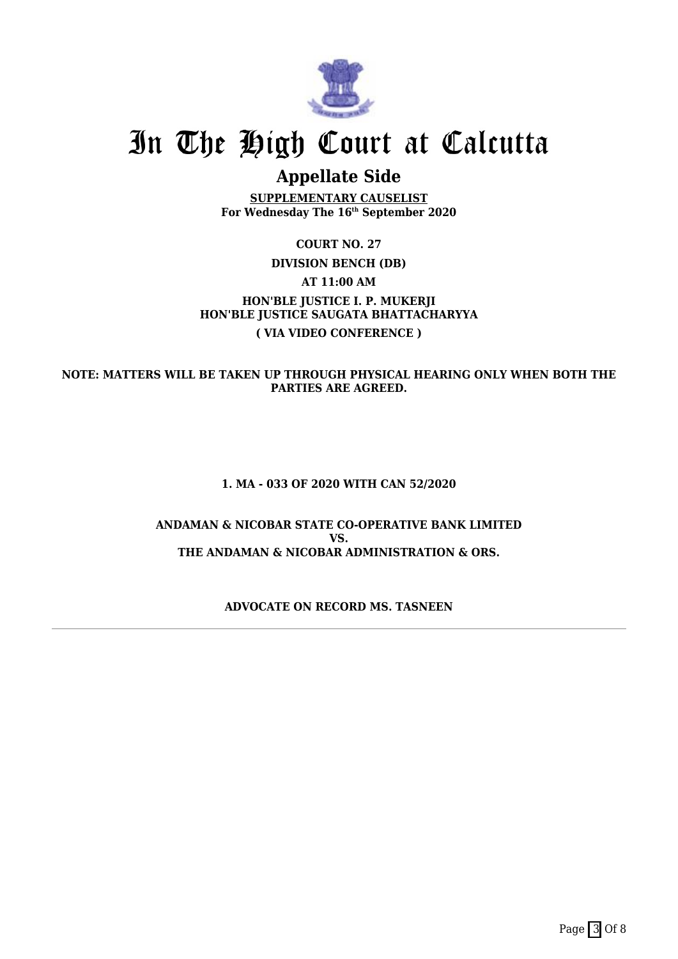

## **Appellate Side**

**SUPPLEMENTARY CAUSELIST For Wednesday The 16th September 2020**

## **COURT NO. 27 DIVISION BENCH (DB) AT 11:00 AM HON'BLE JUSTICE I. P. MUKERJI HON'BLE JUSTICE SAUGATA BHATTACHARYYA ( VIA VIDEO CONFERENCE )**

**NOTE: MATTERS WILL BE TAKEN UP THROUGH PHYSICAL HEARING ONLY WHEN BOTH THE PARTIES ARE AGREED.**

#### **1. MA - 033 OF 2020 WITH CAN 52/2020**

#### **ANDAMAN & NICOBAR STATE CO-OPERATIVE BANK LIMITED VS. THE ANDAMAN & NICOBAR ADMINISTRATION & ORS.**

#### **ADVOCATE ON RECORD MS. TASNEEN**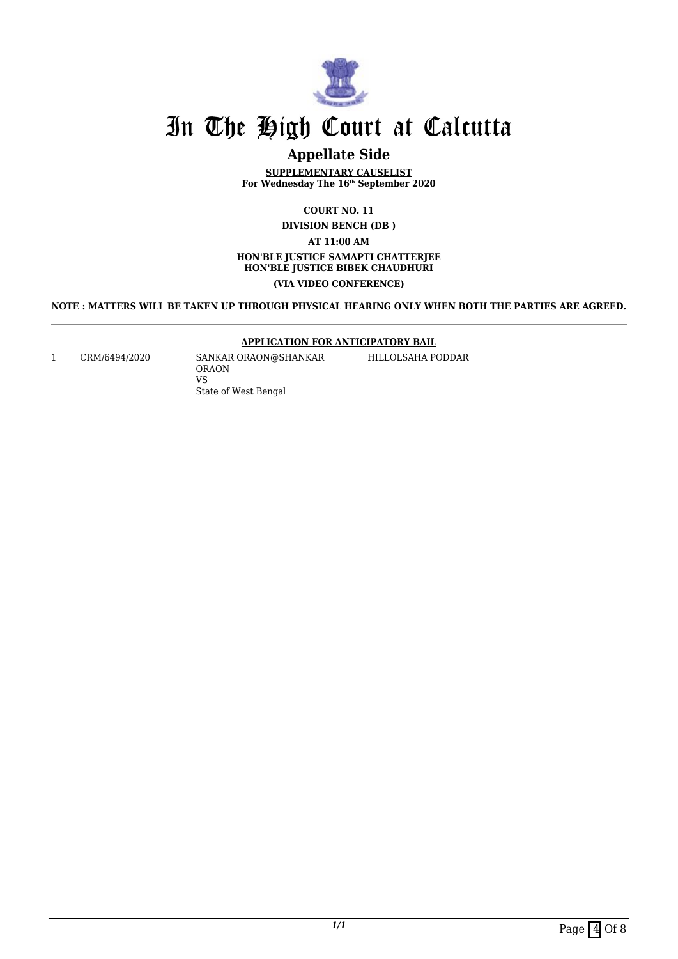

## **Appellate Side**

**SUPPLEMENTARY CAUSELIST For Wednesday The 16th September 2020**

> **COURT NO. 11 DIVISION BENCH (DB )**

> > **AT 11:00 AM**

#### **HON'BLE JUSTICE SAMAPTI CHATTERJEE HON'BLE JUSTICE BIBEK CHAUDHURI (VIA VIDEO CONFERENCE)**

**NOTE : MATTERS WILL BE TAKEN UP THROUGH PHYSICAL HEARING ONLY WHEN BOTH THE PARTIES ARE AGREED.**

#### **APPLICATION FOR ANTICIPATORY BAIL**

1 CRM/6494/2020 SANKAR ORAON@SHANKAR ORAON VS State of West Bengal

HILLOLSAHA PODDAR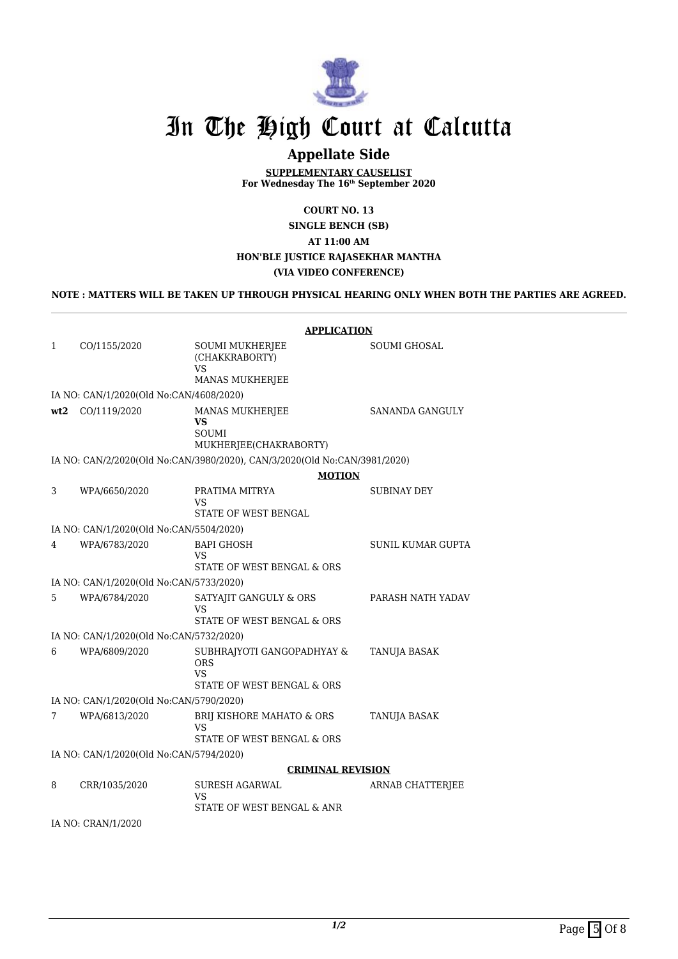

## **Appellate Side**

**SUPPLEMENTARY CAUSELIST For Wednesday The 16th September 2020**

**COURT NO. 13**

**SINGLE BENCH (SB)**

### **AT 11:00 AM HON'BLE JUSTICE RAJASEKHAR MANTHA**

### **(VIA VIDEO CONFERENCE)**

#### **NOTE : MATTERS WILL BE TAKEN UP THROUGH PHYSICAL HEARING ONLY WHEN BOTH THE PARTIES ARE AGREED.**

|                                         |                                         | <b>APPLICATION</b>                                                                  |                          |  |
|-----------------------------------------|-----------------------------------------|-------------------------------------------------------------------------------------|--------------------------|--|
| $\mathbf{1}$                            | CO/1155/2020                            | SOUMI MUKHERJEE<br>(CHAKKRABORTY)<br><b>VS</b><br>MANAS MUKHERJEE                   | <b>SOUMI GHOSAL</b>      |  |
|                                         | IA NO: CAN/1/2020(Old No:CAN/4608/2020) |                                                                                     |                          |  |
| wt2                                     | CO/1119/2020                            | MANAS MUKHERJEE<br>VS<br><b>SOUMI</b><br>MUKHERJEE(CHAKRABORTY)                     | SANANDA GANGULY          |  |
|                                         |                                         | IA NO: CAN/2/2020(Old No:CAN/3980/2020), CAN/3/2020(Old No:CAN/3981/2020)           |                          |  |
|                                         | <b>MOTION</b>                           |                                                                                     |                          |  |
| 3                                       | WPA/6650/2020                           | PRATIMA MITRYA<br>VS<br>STATE OF WEST BENGAL                                        | SUBINAY DEY              |  |
|                                         | IA NO: CAN/1/2020(Old No:CAN/5504/2020) |                                                                                     |                          |  |
| 4                                       | WPA/6783/2020                           | <b>BAPI GHOSH</b>                                                                   | <b>SUNIL KUMAR GUPTA</b> |  |
|                                         |                                         | VS<br>STATE OF WEST BENGAL & ORS                                                    |                          |  |
|                                         | IA NO: CAN/1/2020(Old No:CAN/5733/2020) |                                                                                     |                          |  |
| 5                                       | WPA/6784/2020                           | SATYAJIT GANGULY & ORS<br>VS<br>STATE OF WEST BENGAL & ORS                          | PARASH NATH YADAV        |  |
|                                         | IA NO: CAN/1/2020(Old No:CAN/5732/2020) |                                                                                     |                          |  |
| 6                                       | WPA/6809/2020                           | SUBHRAJYOTI GANGOPADHYAY &<br><b>ORS</b><br><b>VS</b><br>STATE OF WEST BENGAL & ORS | TANUJA BASAK             |  |
| IA NO: CAN/1/2020(Old No:CAN/5790/2020) |                                         |                                                                                     |                          |  |
| 7                                       | WPA/6813/2020                           | BRIJ KISHORE MAHATO & ORS<br>VS<br>STATE OF WEST BENGAL & ORS                       | <b>TANUJA BASAK</b>      |  |
| IA NO: CAN/1/2020(Old No:CAN/5794/2020) |                                         |                                                                                     |                          |  |
|                                         | <b>CRIMINAL REVISION</b>                |                                                                                     |                          |  |
| 8                                       | CRR/1035/2020                           | <b>SURESH AGARWAL</b><br>VS<br>STATE OF WEST BENGAL & ANR                           | <b>ARNAB CHATTERJEE</b>  |  |
|                                         | IA NO: CRAN/1/2020                      |                                                                                     |                          |  |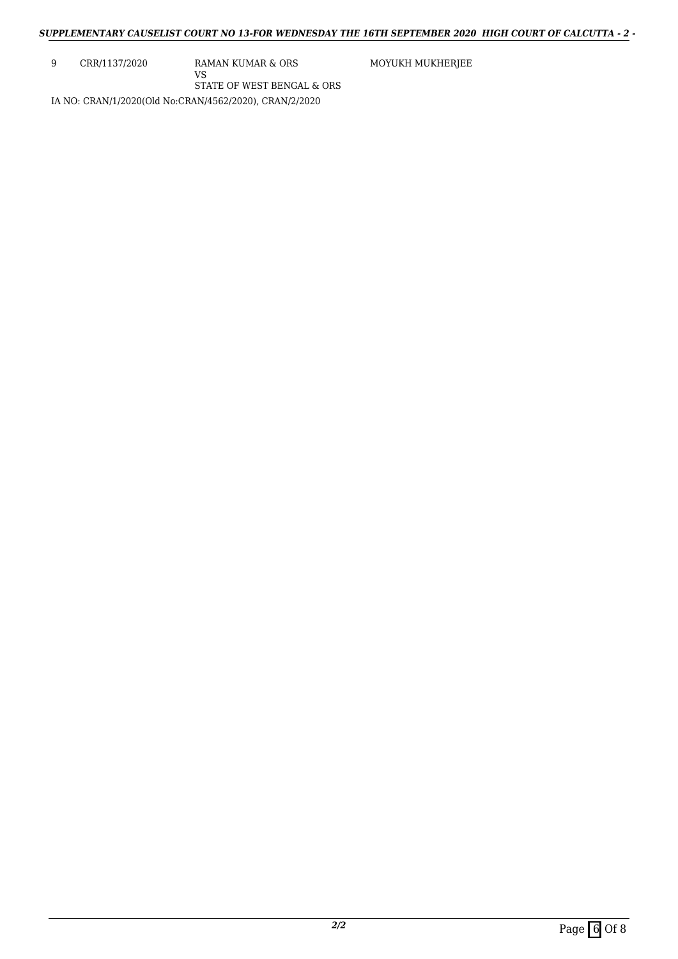9 CRR/1137/2020 RAMAN KUMAR & ORS

VS

STATE OF WEST BENGAL & ORS

MOYUKH MUKHERJEE

IA NO: CRAN/1/2020(Old No:CRAN/4562/2020), CRAN/2/2020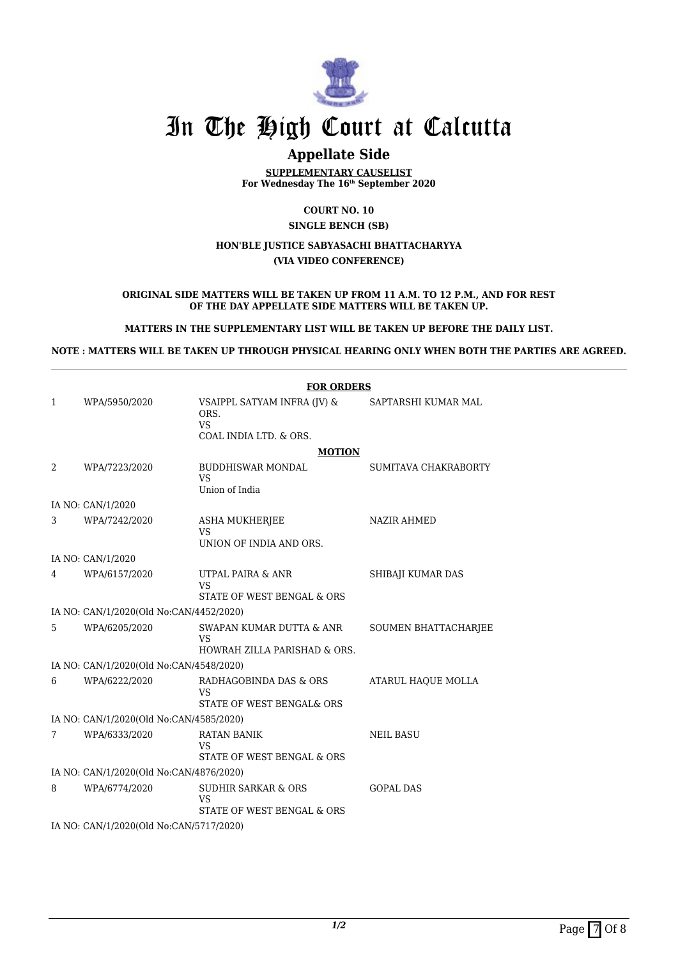

## **Appellate Side**

**SUPPLEMENTARY CAUSELIST For Wednesday The 16th September 2020**

#### **COURT NO. 10 SINGLE BENCH (SB)**

#### **HON'BLE JUSTICE SABYASACHI BHATTACHARYYA (VIA VIDEO CONFERENCE)**

#### **ORIGINAL SIDE MATTERS WILL BE TAKEN UP FROM 11 A.M. TO 12 P.M., AND FOR REST OF THE DAY APPELLATE SIDE MATTERS WILL BE TAKEN UP.**

#### **MATTERS IN THE SUPPLEMENTARY LIST WILL BE TAKEN UP BEFORE THE DAILY LIST.**

#### **NOTE : MATTERS WILL BE TAKEN UP THROUGH PHYSICAL HEARING ONLY WHEN BOTH THE PARTIES ARE AGREED.**

|                                         |                                         | <b>FOR ORDERS</b>                                                          |                      |  |
|-----------------------------------------|-----------------------------------------|----------------------------------------------------------------------------|----------------------|--|
| 1                                       | WPA/5950/2020                           | VSAIPPL SATYAM INFRA (JV) &<br>ORS.<br><b>VS</b><br>COAL INDIA LTD. & ORS. | SAPTARSHI KUMAR MAL  |  |
|                                         |                                         | <b>MOTION</b>                                                              |                      |  |
| 2                                       | WPA/7223/2020                           | <b>BUDDHISWAR MONDAL</b><br><b>VS</b><br>Union of India                    | SUMITAVA CHAKRABORTY |  |
|                                         | IA NO: CAN/1/2020                       |                                                                            |                      |  |
| 3                                       | WPA/7242/2020                           | <b>ASHA MUKHERJEE</b><br><b>VS</b><br>UNION OF INDIA AND ORS.              | <b>NAZIR AHMED</b>   |  |
|                                         | IA NO: CAN/1/2020                       |                                                                            |                      |  |
| 4                                       | WPA/6157/2020                           | UTPAL PAIRA & ANR<br><b>VS</b><br>STATE OF WEST BENGAL & ORS               | SHIBAJI KUMAR DAS    |  |
|                                         | IA NO: CAN/1/2020(Old No:CAN/4452/2020) |                                                                            |                      |  |
| 5                                       | WPA/6205/2020                           | SWAPAN KUMAR DUTTA & ANR<br>VS<br>HOWRAH ZILLA PARISHAD & ORS.             | SOUMEN BHATTACHARJEE |  |
| IA NO: CAN/1/2020(Old No:CAN/4548/2020) |                                         |                                                                            |                      |  |
| 6                                       | WPA/6222/2020                           | RADHAGOBINDA DAS & ORS<br>VS<br>STATE OF WEST BENGAL& ORS                  | ATARUL HAOUE MOLLA   |  |
|                                         | IA NO: CAN/1/2020(Old No:CAN/4585/2020) |                                                                            |                      |  |
| 7                                       | WPA/6333/2020                           | <b>RATAN BANIK</b><br>VS<br>STATE OF WEST BENGAL & ORS                     | <b>NEIL BASU</b>     |  |
| IA NO: CAN/1/2020(Old No:CAN/4876/2020) |                                         |                                                                            |                      |  |
| 8                                       | WPA/6774/2020                           | <b>SUDHIR SARKAR &amp; ORS</b><br>VS<br>STATE OF WEST BENGAL & ORS         | <b>GOPAL DAS</b>     |  |
| IA NO: CAN/1/2020(Old No:CAN/5717/2020) |                                         |                                                                            |                      |  |